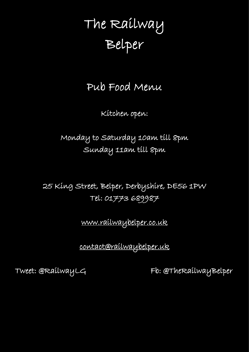# The Railway Belper

Pub Food Menu

Kitchen open:

Monday to Saturday 10am till 8pm Sunday 11am till 8pm

25 King Street, Belper, Derbyshire, DE56 1PW Tel: 01773 689987

[www.railwaybelper.co.uk](http://www.railwaybelper.co.uk/) 

[contact@railwaybelper.uk](mailto:contact@railwaybelper.uk) 

Tweet: @RailwayLG Fb: @TheRailwayBelper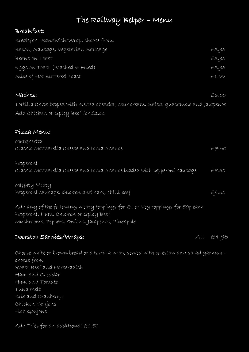# The Railway Belper – Menu

## Breakfast:

| Breakfast Sandwich/Wrap, choose from:                                                 |       |
|---------------------------------------------------------------------------------------|-------|
| Bacon, Sausage, Vegetarían Sausage                                                    | £3.95 |
| Beans on Toast                                                                        | £3.95 |
| Eggs on Toast (Poached or Fried)                                                      | £3.95 |
| Slice of Hot Buttered Toast                                                           | £1.00 |
| Nachos:                                                                               | £6.00 |
| Tortílla Chíps topped with melted cheddar, sour cream, Salsa, quacamole and Jalapenos |       |
| Add Chicken or Spicy Beef for £1.00                                                   |       |

#### Pizza Menu:

| Margherita                                                                             |       |
|----------------------------------------------------------------------------------------|-------|
| Classic Mozzarella Cheese and tomato sauce                                             | £7.50 |
| Pepperoni                                                                              |       |
| Classic Mozzarella Cheese and tomato sauce loaded with pepperoni sausage               | £8.50 |
| Míghty Meaty                                                                           |       |
| Pepperoni sausage, chicken and ham, chilli beef                                        | £9.50 |
| Add any of the following meaty toppings for $\pm$ 1 or $\vee$ eg toppings for 50p each |       |
| Pepperoni, Ham, Chicken or Spicy Beef                                                  |       |
| Mushrooms, Peppers, Oníons, Jalapenos, Píneapple                                       |       |
|                                                                                        |       |

#### Doorstop Sarnies/Wraps: All £4.95

Choose white or brown bread or a tortilla wrap, served with coleslaw and salad garnish – choose from: Roast Beef and Horseradish Ham and Cheddar Ham and Tomato Tuna Melt Brie and Cranberry Chicken Goujons Fish Goujons

Add Fries for an additional £1.50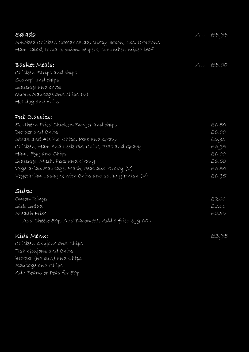| Salads:                                                  | All £5.95 |
|----------------------------------------------------------|-----------|
| Smoked Chícken Caesar salad, críspy bacon, Cos, Croutons |           |
| Ham salad, tomato, oníon, peppers, cucumber, míxed leaf  |           |
| Basket Meals:                                            | All £5.00 |
| Chícken Stríps and chíps                                 |           |
| Scampi and chips                                         |           |
| Sausage and chips                                        |           |
| Quorn Sausage and chips (V)                              |           |
| Hot dog and chips                                        |           |
| Pub Classics:                                            |           |
| Southern Fried Chicken Burger and chips                  | £6.50     |
| Burger and Chips                                         | £6.00     |
| Steak and Ale Píe, Chíps, Peas and Gravy                 | £6.95     |
| Chícken, Ham and Leek Píe, Chíps, Peas and Gravy         | £6.95     |
| Ham, Egg and Chips                                       | £6.00     |
| Sausage, Mash, Peas and Gravy                            | £6.50     |
| Vegetarían Sausage, Mash, Peas and Gravy (V)             | £6.50     |
| Vegetarían Lasagne wíth Chíps and salad garnísh $(\vee)$ | £6.95     |
| Sídes:                                                   |           |
| Oníon Ríngs                                              | £2.00     |
| Síde Salad                                               | £2.00     |
| Stealth Fries                                            | £2.50     |
| Add Cheese 50p, Add Bacon £1, Add a fried egg 60p        |           |
| Kíds Menu:                                               | £3.95     |
| Chícken Goujons and Chips                                |           |
| Fish Goujons and Chips                                   |           |
| Burger (no bun) and Chips                                |           |
| Sausage and Chips                                        |           |
| Add Beans or Peas for 50p                                |           |